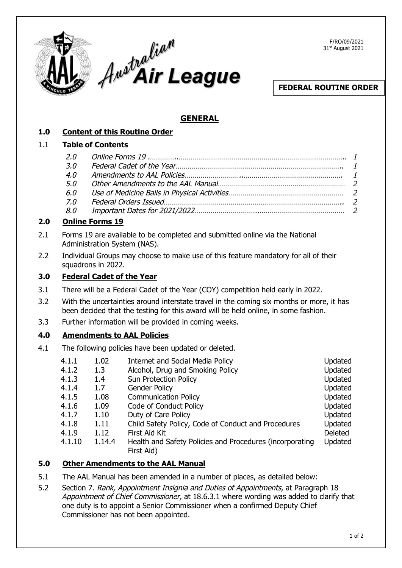

F/RO/09/2021 31st August 2021

## **FEDERAL ROUTINE ORDER**

# **GENERAL**

|--|

### 1.1 **Table of Contents**

| 3.0 |  |
|-----|--|
|     |  |
|     |  |
|     |  |
| 7.0 |  |
|     |  |

### **2.0 Online Forms 19**

- 2.1 Forms 19 are available to be completed and submitted online via the National Administration System (NAS).
- 2.2 Individual Groups may choose to make use of this feature mandatory for all of their squadrons in 2022.

### **3.0 Federal Cadet of the Year**

- 3.1 There will be a Federal Cadet of the Year (COY) competition held early in 2022.
- 3.2 With the uncertainties around interstate travel in the coming six months or more, it has been decided that the testing for this award will be held online, in some fashion.
- 3.3 Further information will be provided in coming weeks.

## **4.0 Amendments to AAL Policies**

4.1 The following policies have been updated or deleted.

| 4.1.1  | 1.02   | Internet and Social Media Policy                         | Updated        |
|--------|--------|----------------------------------------------------------|----------------|
| 4.1.2  | 1.3    | Alcohol, Drug and Smoking Policy                         | Updated        |
| 4.1.3  | 1.4    | <b>Sun Protection Policy</b>                             | Updated        |
| 4.1.4  | 1.7    | <b>Gender Policy</b>                                     | Updated        |
| 4.1.5  | 1.08   | <b>Communication Policy</b>                              | Updated        |
| 4.1.6  | 1.09   | Code of Conduct Policy                                   | Updated        |
| 4.1.7  | 1.10   | Duty of Care Policy                                      | Updated        |
| 4.1.8  | 1.11   | Child Safety Policy, Code of Conduct and Procedures      | Updated        |
| 4.1.9  | 1.12   | First Aid Kit                                            | <b>Deleted</b> |
| 4.1.10 | 1.14.4 | Health and Safety Policies and Procedures (incorporating | Updated        |
|        |        | First Aid)                                               |                |

## **5.0 Other Amendments to the AAL Manual**

- 5.1 The AAL Manual has been amended in a number of places, as detailed below:
- 5.2 Section 7. Rank, Appointment Insignia and Duties of Appointments, at Paragraph 18 Appointment of Chief Commissioner, at 18.6.3.1 where wording was added to clarify that one duty is to appoint a Senior Commissioner when a confirmed Deputy Chief Commissioner has not been appointed.